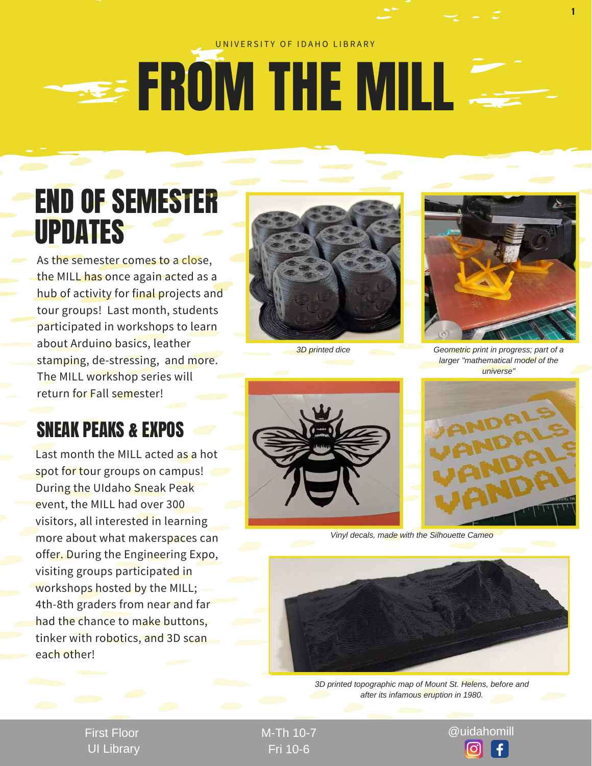#### UNIVERSITY OF IDAHO LIBRARY

# **SEE FROM THE MILL**

## END OF SEMESTER UPDATES

As the semester comes to a close, the MILL has once again acted as a hub of activity for final projects and tour groups! Last month, students participated in workshops to learn about Arduino basics, leather stamping, de-stressing, and more. The MILL workshop series will return for Fall semester!

### SNEAK PEAKS & EXPOS

Last month the MILL acted as a hot spot for tour groups on campus! During the UIdaho Sneak Peak event, the MILL had over 300 visitors, all interested in learning more about what makerspaces can offer. During the Engineering Expo, visiting groups participated in workshops hosted by the MILL; 4th-8th graders from near and far had the chance to make buttons, tinker with robotics, and 3D scan each other!





1

*3D printed dice Geometric print in progress; part of a larger "mathematical model of the universe"*





*Vinyl decals, made with the Silhouette Cameo*



*3D printed topographic map of Mount St. Helens, before and after its infamous eruption in 1980.*

First Floor UI Library

Fri 10-6